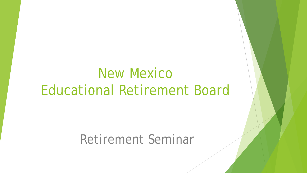# New Mexico Educational Retirement Board

Retirement Seminar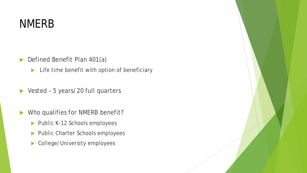## NMERB

- Defined Benefit Plan 401(a)
	- Life time benefit with option of beneficiary
- ▶ Vested 5 years/20 full quarters
- Who qualifies for NMERB benefit?
	- Public K-12 Schools employees
	- Public Charter Schools employees
	- ▶ College/University employees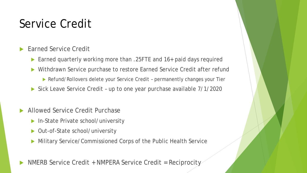# Service Credit

- Earned Service Credit
	- Earned quarterly working more than .25FTE and 16+ paid days required
	- ▶ Withdrawn Service purchase to restore Earned Service Credit after refund
		- Refund/Rollovers delete your Service Credit permanently changes your Tier
	- Sick Leave Service Credit up to one year purchase available 7/1/2020
- Allowed Service Credit Purchase
	- ▶ In-State Private school/university
	- Out-of-State school/university
	- Military Service/Commissioned Corps of the Public Health Service
- NMERB Service Credit + NMPERA Service Credit = Reciprocity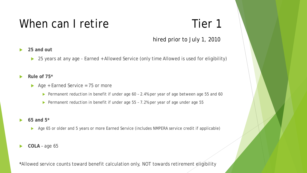#### hired prior to July 1, 2010

- **25 and out**
	- ▶ 25 years at any age Earned + Allowed Service (only time Allowed is used for eligibility)
- **Rule of 75\***
	- $\triangleright$  Age + Earned Service = 75 or more
		- Permanent reduction in benefit if under age 60 2.4% per year of age between age 55 and 60
		- ▶ Permanent reduction in benefit if under age 55 7.2% per year of age under age 55
- **65 and 5\***
	- Age 65 or older and 5 years or more Earned Service (includes NMPERA service credit if applicable)
- **COLA**  age 65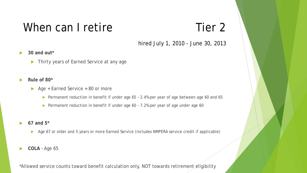hired July 1, 2010 - June 30, 2013

- **30 and out\***
	- ▶ Thirty years of Earned Service at any age
- **Rule of 80\***
	- $\triangleright$  Age + Earned Service = 80 or more
		- ▶ Permanent reduction in benefit if under age 65 2.4% per year of age between age 60 and 65
		- ▶ Permanent reduction in benefit if under age 60 7.2% per year of age under age 60
- **67 and 5\***
	- Age 67 or older and 5 years or more Earned Service (includes NMPERA service credit if applicable)
- **COLA**  Age 65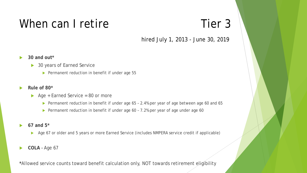hired July 1, 2013 - June 30, 2019

**30 and out\***

#### **▶ 30 years of Earned Service**

- $\blacktriangleright$  Permanent reduction in benefit if under age 55
- **Rule of 80\***
	- $\triangleright$  Age + Earned Service = 80 or more
		- ▶ Permanent reduction in benefit if under age 65 2.4% per year of age between age 60 and 65
		- Permanent reduction in benefit if under age 60 7.2% per year of age under age 60
- **67 and 5\***
	- Age 67 or older and 5 years or more Earned Service (includes NMPERA service credit if applicable)
- **COLA**  Age 67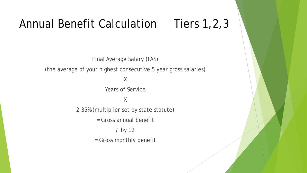# Annual Benefit Calculation Tiers 1, 2, 3

Final Average Salary (FAS)

(the average of your highest consecutive 5 year gross salaries)

X

Years of Service

### X

2.35% (multiplier set by state statute)

= Gross annual benefit

/ by 12

= Gross monthly benefit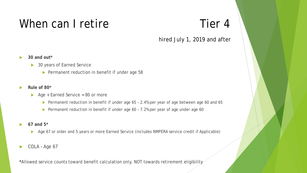#### hired July 1, 2019 and after

**30 and out\***

#### ▶ 30 years of Earned Service

- ▶ Permanent reduction in benefit if under age 58
- **Rule of 80\***
	- Age + Earned Service = 80 or more
		- ▶ Permanent reduction in benefit if under age 65 2.4% per year of age between age 60 and 65
		- ▶ Permanent reduction in benefit if under age 60 7.2% per year of age under age 60
- **67 and 5\***
	- Age 67 or older and 5 years or more Earned Service (includes NMPERA service credit if Applicable)
- COLA Age 67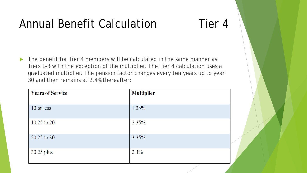# Annual Benefit Calculation Tier 4

 The benefit for Tier 4 members will be calculated in the same manner as Tiers 1-3 with the exception of the multiplier. The Tier 4 calculation uses a graduated multiplier. The pension factor changes every ten years up to year 30 and then remains at 2.4% thereafter:

| <b>Years of Service</b> | <b>Multiplier</b> |
|-------------------------|-------------------|
|                         |                   |
| 10 or less              | 1.35%             |
| $10.25$ to 20           | 2.35%             |
| 20.25 to 30             | 3.35%             |
| 30.25 plus              | $2.4\%$           |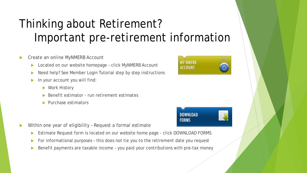# Thinking about Retirement? Important pre-retirement information

- Create an online MyNMERB Account
	- ▶ Located on our website homepage click MyNMERB Account
	- Need help? See Member Login Tutorial step by step instructions
	- $\blacktriangleright$  In your account you will find:
		- Work History
		- Benefit estimator run retirement estimates
		- Purchase estimators
- Within one year of eligibility Request a formal estimate
	- Estimate Request form is located on our website home page click DOWNLOAD FORMS
	- For informational purposes this does not tie you to the retirement date you request
	- Benefit payments are taxable income you paid your contributions with pre-tax money



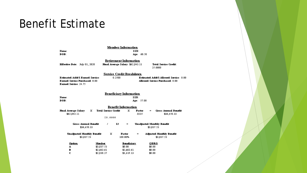### Benefit Estimate

| Member Information<br>SSN:<br>Name:<br>DOB:<br>Age: 60.50                                                                                                                                                                                        |                                                                    |                                                                      |
|--------------------------------------------------------------------------------------------------------------------------------------------------------------------------------------------------------------------------------------------------|--------------------------------------------------------------------|----------------------------------------------------------------------|
| <b>Effective Date:</b> July 01, 2020                                                                                                                                                                                                             | <b>Retirement Information</b><br>Final Average Salary: \$62,043.11 | <b>Total Service Credit:</b><br>25,0000                              |
| <b>Service Credit Breakdown</b><br><b>Estimated Addt1 Earned Service:</b><br>0.2500<br><b>Estimated Addt1 Allowed Service: 0.00</b><br><b>Earned Service Purchased: 0.00</b><br>Allowed, Service Purchased: 0.00<br><b>Earned Service: 24.75</b> |                                                                    |                                                                      |
| Beneficiary Information<br>SSN:<br>Name:<br>DOB:<br>Age: 57.00<br><b>Benefit Information</b>                                                                                                                                                     |                                                                    |                                                                      |
| Final Average Salary<br>x<br>\$62,043.11                                                                                                                                                                                                         | x<br><b>Total Service Credit</b><br>25.0000                        | <b>Gross Annual Benefit</b><br>Factor<br>$=$<br>.0235<br>\$36,450.33 |
| Gross Annual Benefit<br>\$36,450.33                                                                                                                                                                                                              | 12<br>,<br>$=$                                                     | Unadjusted Monthly Benefit<br>\$3,037.53                             |
| <b>Unadjusted Monthly Benefit</b><br>\$3,037.53                                                                                                                                                                                                  | x<br><b>Factor</b><br>100.00%                                      | <b>Adjusted Monthly Benefit</b><br>$=$<br>\$3,037.53                 |
| Option<br>A                                                                                                                                                                                                                                      | Member<br>Beneficiary<br>\$3,037.53<br>\$0.00                      | ODRO<br>\$0.00                                                       |

\$2,663.61

\$1,419.13

\$0.00

\$0.00

\$2,663.61

\$2,838.27

B<br>C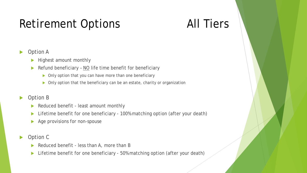# Retirement Options **All Tiers**

### Option A

- Highest amount monthly
- Refund beneficiary  $NO$  life time benefit for beneficiary
	- $\triangleright$  Only option that you can have more than one beneficiary
	- Only option that the beneficiary can be an estate, charity or organization

### Option B

- Reduced benefit least amount monthly
- ▶ Lifetime benefit for one beneficiary 100% matching option (after your death)
- $\blacktriangleright$  Age provisions for non-spouse
- Option C
	- Reduced benefit less than A, more than B
	- ▶ Lifetime benefit for one beneficiary 50% matching option (after your death)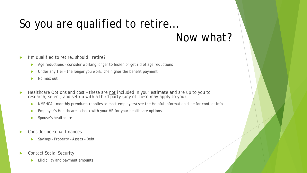## So you are qualified to retire… Now what?

- I'm qualified to retire…should I retire?
	- Age reductions consider working longer to lessen or get rid of age reductions
	- ▶ Under any Tier the longer you work, the higher the benefit payment
	- $\blacktriangleright$  No max out
- Healthcare Options and cost these are not included in your estimate and are up to you to research, select, and set up with a third party (any of these may apply to you)
	- **NMRHCA monthly premiums (applies to most employers) see the Helpful Information slide for contact info**
	- **Employer's Healthcare check with your HR for your healthcare options**
	- Spouse's healthcare
- Consider personal finances
	- ▶ Savings Property Assets Debt
- Contact Social Security
	- Eligibility and payment amounts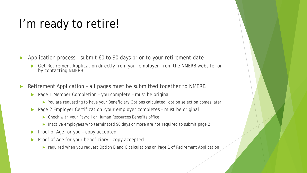## I'm ready to retire!

- Application process submit 60 to 90 days prior to your retirement date
	- Get Retirement Application directly from your employer, from the NMERB website, or by contacting NMERB
- Retirement Application all pages must be submitted together to NMERB
	- ▶ Page 1 Member Completion you complete must be original
		- ▶ You are requesting to have your Beneficiary Options calculated, option selection comes later
	- ▶ Page 2 Employer Certification -your employer completes must be original
		- Check with your Payroll or Human Resources Benefits office
		- Inactive employees who terminated 90 days or more are not required to submit page 2
	- Proof of Age for you copy accepted
	- $\triangleright$  Proof of Age for your beneficiary copy accepted
		- ▶ required when you request Option B and C calculations on Page 1 of Retirement Application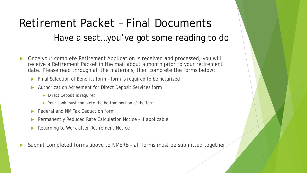# Retirement Packet – Final Documents Have a seat…you've got some reading to do

- Once your complete Retirement Application is received and processed, you will receive a Retirement Packet in the mail about a month prior to your retirement date. Please read through all the materials, then complete the forms below:
	- ▶ Final Selection of Benefits form form is required to be notarized
	- Authorization Agreement for Direct Deposit Services form
		- Direct Deposit is required
		- Your bank must complete the bottom portion of the form
	- Federal and NM Tax Deduction form
	- Permanently Reduced Rate Calculation Notice if applicable
	- Returning to Work after Retirement Notice
- Submit completed forms above to NMERB all forms must be submitted together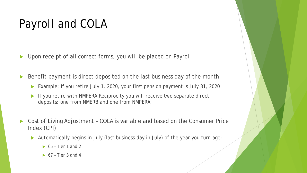# Payroll and COLA

Upon receipt of all correct forms, you will be placed on Payroll

Benefit payment is direct deposited on the last business day of the month

- Example: If you retire July 1, 2020, your first pension payment is July 31, 2020
- If you retire with NMPERA Reciprocity you will receive two separate direct deposits; one from NMERB and one from NMPERA
- Cost of Living Adjustment COLA is variable and based on the Consumer Price Index (CPI)
	- Automatically begins in July (last business day in July) of the year you turn age:
		- $\triangleright$  65 Tier 1 and 2
		- $\triangleright$  67 Tier 3 and 4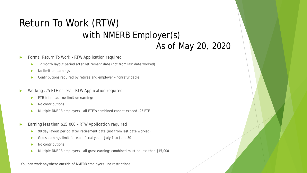### Return To Work (RTW) with NMERB Employer(s) As of May 20, 2020

- Formal Return To Work RTW Application required
	- ▶ 12 month layout period after retirement date (not from last date worked)
	- No limit on earnings
	- ▶ Contributions required by retiree and employer nonrefundable
- Working .25 FTE or less RTW Application required
	- $\blacktriangleright$  FTE is limited, no limit on earnings
	- No contributions
	- Multiple NMERB employers all FTE's combined cannot exceed .25 FTE
- Earning less than \$15,000 RTW Application required
	- ▶ 90 day layout period after retirement date (not from last date worked)
	- Gross earnings limit for each fiscal year July 1 to June 30
	- $\blacktriangleright$  No contributions
	- Multiple NMERB employers all gross earnings combined must be less than \$15,000

You can work anywhere outside of NMERB employers – no restrictions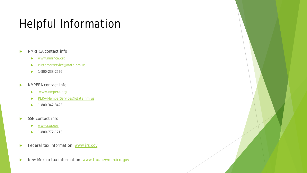# Helpful Information

- NMRHCA contact info
	- [www.nmrhca.org](http://www.nmrhca.org/)
	- [customerservice@state.nm.us](mailto:customerservice@state.nm.us)
	- $\blacktriangleright$  1-800-233-2576
- NMPERA contact info
	- [www.nmpera.org](http://www.nmpera.org/)
	- [PERA-MemberServices@state.nm.us](mailto:PERA-MemberServices@state.nm.us)
	- $\blacktriangleright$  1-800-342-3422
- SSN contact info
	- [www.ssa.gov](http://www.ssa.gov/)
	- $\blacktriangleright$  1-800-772-1213
- Federal tax information [www.irs.gov](http://www.irs.gov/)
- New Mexico tax information [www.tax.newmexico.gov](http://www.tax.newmexico.gov/)